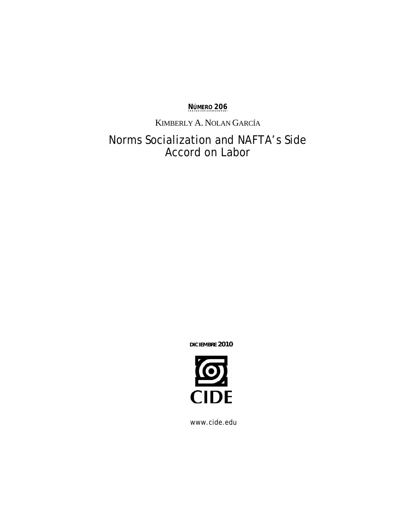**NÚMERO 206**

KIMBERLY A. NOLAN GARCÍA

# Norms Socialization and NAFTA's Side Accord on Labor

**DICIEMBRE 2010** 



www.cide.edu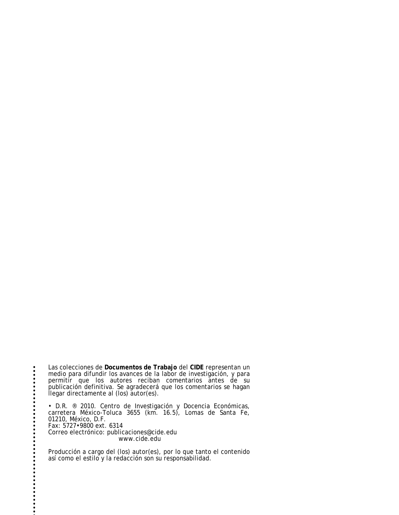Las colecciones de **Documentos de Trabajo** del **CIDE** representan un medio para difundir los avances de la labor de investigación, y para permitir que los autores reciban comentarios antes de su publicación definitiva. Se agradecerá que los comentarios se hagan llegar directamente al (los) autor(es).

 $\ddot{\bullet}$ 

• D.R. ® 2010. Centro de Investigación y Docencia Económicas, carretera México-Toluca 3655 (km. 16.5), Lomas de Santa Fe, 01210, México, D.F. Fax: 5727•9800 ext. 6314 Correo electrónico: publicaciones@cide.edu www.cide.edu

Producción a cargo del (los) autor(es), por lo que tanto el contenido así como el estilo y la redacción son su responsabilidad.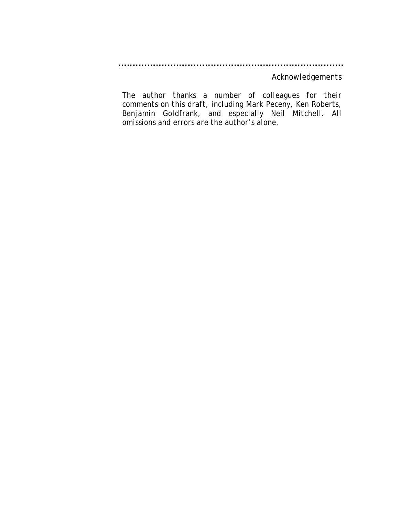*Acknowledgements* 

*The author thanks a number of colleagues for their comments on this draft, including Mark Peceny, Ken Roberts, Benjamin Goldfrank, and especially Neil Mitchell. All omissions and errors are the author's alone.*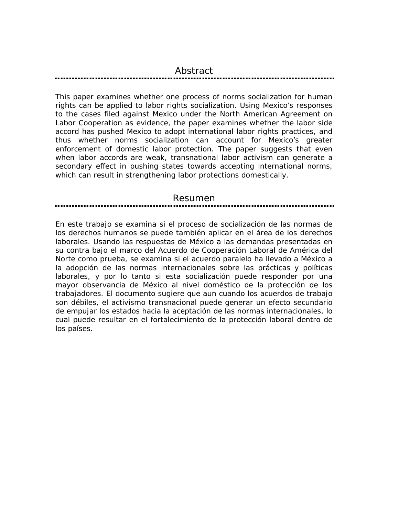#### *Abstract*

*This paper examines whether one process of norms socialization for human rights can be applied to labor rights socialization. Using Mexico's responses to the cases filed against Mexico under the North American Agreement on Labor Cooperation as evidence, the paper examines whether the labor side accord has pushed Mexico to adopt international labor rights practices, and thus whether norms socialization can account for Mexico's greater enforcement of domestic labor protection. The paper suggests that even when labor accords are weak, transnational labor activism can generate a secondary effect in pushing states towards accepting international norms, which can result in strengthening labor protections domestically.* 

#### *Resumen*

*En este trabajo se examina si el proceso de socialización de las normas de los derechos humanos se puede también aplicar en el área de los derechos laborales. Usando las respuestas de México a las demandas presentadas en su contra bajo el marco del Acuerdo de Cooperación Laboral de América del Norte como prueba, se examina si el acuerdo paralelo ha llevado a México a la adopción de las normas internacionales sobre las prácticas y políticas laborales, y por lo tanto si esta socialización puede responder por una mayor observancia de México al nivel doméstico de la protección de los trabajadores. El documento sugiere que aun cuando los acuerdos de trabajo son débiles, el activismo transnacional puede generar un efecto secundario de empujar los estados hacia la aceptación de las normas internacionales, lo cual puede resultar en el fortalecimiento de la protección laboral dentro de los países.*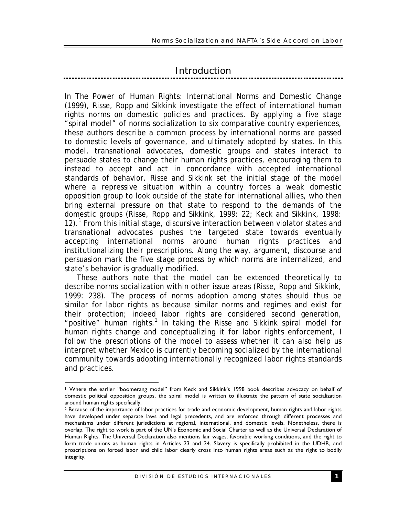# *Introduction*

In The Power of Human Rights: International Norms and Domestic Change (1999), Risse, Ropp and Sikkink investigate the effect of international human rights norms on domestic policies and practices. By applying a five stage "spiral model" of norms socialization to six comparative country experiences, these authors describe a common process by international norms are passed to domestic levels of governance, and ultimately adopted by states. In this model, transnational advocates, domestic groups and states interact to persuade states to change their human rights practices, encouraging them to instead to accept and act in concordance with accepted international standards of behavior. Risse and Sikkink set the initial stage of the model where a repressive situation within a country forces a weak domestic opposition group to look outside of the state for international allies, who then bring external pressure on that state to respond to the demands of the domestic groups (Risse, Ropp and Sikkink, 1999: 22; Keck and Sikkink, 1998: 12).<sup>1</sup> From this initial stage, discursive interaction between violator states and transnational advocates pushes the targeted state towards eventually accepting international norms around human rights practices and institutionalizing their prescriptions. Along the way, argument, discourse and persuasion mark the five stage process by which norms are internalized, and state's behavior is gradually modified.

These authors note that the model can be extended theoretically to describe norms socialization within other issue areas (Risse, Ropp and Sikkink, 1999: 238). The process of norms adoption among states should thus be similar for labor rights as because similar norms and regimes and exist for their protection; indeed labor rights are considered second generation, "positive" human rights.<sup>2</sup> In taking the Risse and Sikkink spiral model for human rights change and conceptualizing it for labor rights enforcement, I follow the prescriptions of the model to assess whether it can also help us interpret whether Mexico is currently becoming socialized by the international community towards adopting internationally recognized labor rights standards and practices.

<sup>1</sup> 1 Where the earlier "boomerang model" from Keck and Sikkink's 1998 book describes advocacy on behalf of domestic political opposition groups, the spiral model is written to illustrate the pattern of state socialization around human rights specifically.

<sup>2</sup> Because of the importance of labor practices for trade and economic development, human rights and labor rights have developed under separate laws and legal precedents, and are enforced through different processes and mechanisms under different jurisdictions at regional, international, and domestic levels. Nonetheless, there is overlap. The right to work is part of the UN's Economic and Social Charter as well as the Universal Declaration of Human Rights. The Universal Declaration also mentions fair wages, favorable working conditions, and the right to form trade unions as human rights in Articles 23 and 24. Slavery is specifically prohibited in the UDHR, and proscriptions on forced labor and child labor clearly cross into human rights areas such as the right to bodily integrity.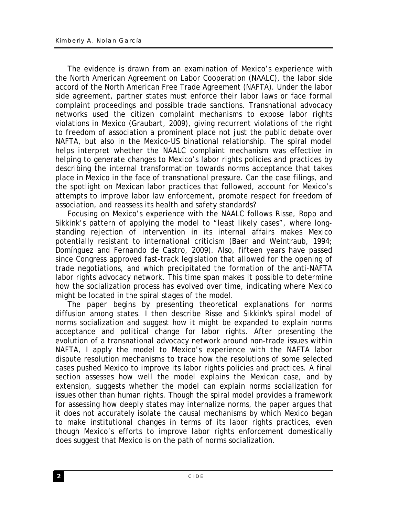The evidence is drawn from an examination of Mexico's experience with the North American Agreement on Labor Cooperation (NAALC), the labor side accord of the North American Free Trade Agreement (NAFTA). Under the labor side agreement, partner states must enforce their labor laws or face formal complaint proceedings and possible trade sanctions. Transnational advocacy networks used the citizen complaint mechanisms to expose labor rights violations in Mexico (Graubart, 2009), giving recurrent violations of the right to freedom of association a prominent place not just the public debate over NAFTA, but also in the Mexico-US binational relationship. The spiral model helps interpret whether the NAALC complaint mechanism was effective in helping to generate changes to Mexico's labor rights policies and practices by describing the internal transformation towards norms acceptance that takes place in Mexico in the face of transnational pressure. Can the case filings, and the spotlight on Mexican labor practices that followed, account for Mexico's attempts to improve labor law enforcement, promote respect for freedom of association, and reassess its health and safety standards?

Focusing on Mexico's experience with the NAALC follows Risse, Ropp and Sikkink's pattern of applying the model to "least likely cases", where longstanding rejection of intervention in its internal affairs makes Mexico potentially resistant to international criticism (Baer and Weintraub, 1994; Domínguez and Fernando de Castro, 2009). Also, fifteen years have passed since Congress approved fast-track legislation that allowed for the opening of trade negotiations, and which precipitated the formation of the anti-NAFTA labor rights advocacy network. This time span makes it possible to determine how the socialization process has evolved over time, indicating where Mexico might be located in the spiral stages of the model.

The paper begins by presenting theoretical explanations for norms diffusion among states. I then describe Risse and Sikkink's spiral model of norms socialization and suggest how it might be expanded to explain norms acceptance and political change for labor rights. After presenting the evolution of a transnational advocacy network around non-trade issues within NAFTA, I apply the model to Mexico's experience with the NAFTA labor dispute resolution mechanisms to trace how the resolutions of some selected cases pushed Mexico to improve its labor rights policies and practices. A final section assesses how well the model explains the Mexican case, and by extension, suggests whether the model can explain norms socialization for issues other than human rights. Though the spiral model provides a framework for assessing how deeply states may internalize norms, the paper argues that it does not accurately isolate the causal mechanisms by which Mexico began to make institutional changes in terms of its labor rights practices, even though Mexico's efforts to improve labor rights enforcement domestically does suggest that Mexico is on the path of norms socialization.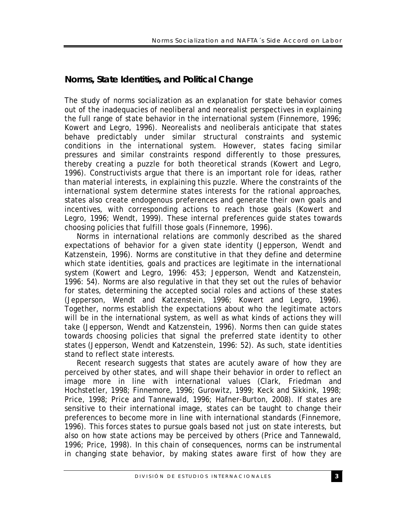# *Norms, State Identities, and Political Change*

The study of norms socialization as an explanation for state behavior comes out of the inadequacies of neoliberal and neorealist perspectives in explaining the full range of state behavior in the international system (Finnemore, 1996; Kowert and Legro, 1996). Neorealists and neoliberals anticipate that states behave predictably under similar structural constraints and systemic conditions in the international system. However, states facing similar pressures and similar constraints respond differently to those pressures, thereby creating a puzzle for both theoretical strands (Kowert and Legro, 1996). Constructivists argue that there is an important role for ideas, rather than material interests, in explaining this puzzle. Where the constraints of the international system determine states interests for the rational approaches, states also create endogenous preferences and generate their own goals and incentives, with corresponding actions to reach those goals (Kowert and Legro, 1996; Wendt, 1999). These internal preferences guide states towards choosing policies that fulfill those goals (Finnemore, 1996).

Norms in international relations are commonly described as the shared expectations of behavior for a given state identity (Jepperson, Wendt and Katzenstein, 1996). Norms are constitutive in that they define and determine which state identities, goals and practices are legitimate in the international system (Kowert and Legro, 1996: 453; Jepperson, Wendt and Katzenstein, 1996: 54). Norms are also regulative in that they set out the rules of behavior for states, determining the accepted social roles and actions of these states (Jepperson, Wendt and Katzenstein, 1996; Kowert and Legro, 1996). Together, norms establish the expectations about who the legitimate actors will be in the international system, as well as what kinds of actions they will take (Jepperson, Wendt and Katzenstein, 1996). Norms then can guide states towards choosing policies that signal the preferred state identity to other states (Jepperson, Wendt and Katzenstein, 1996: 52). As such, state identities stand to reflect state interests.

Recent research suggests that states are acutely aware of how they are perceived by other states, and will shape their behavior in order to reflect an image more in line with international values (Clark, Friedman and Hochstetler, 1998; Finnemore, 1996; Gurowitz, 1999; Keck and Sikkink, 1998; Price, 1998; Price and Tannewald, 1996; Hafner-Burton, 2008). If states are sensitive to their international image, states can be taught to change their preferences to become more in line with international standards (Finnemore, 1996). This forces states to pursue goals based not just on state interests, but also on how state actions may be perceived by others (Price and Tannewald, 1996; Price, 1998). In this chain of consequences, norms can be instrumental in changing state behavior, by making states aware first of how they are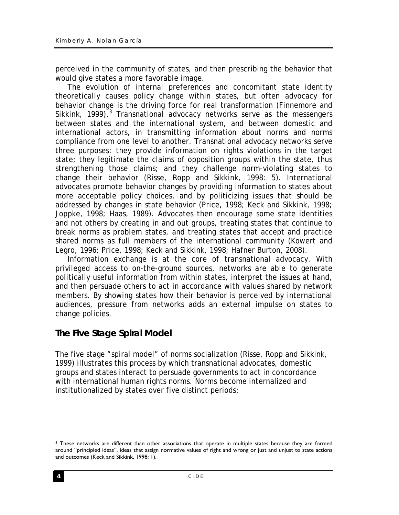perceived in the community of states, and then prescribing the behavior that would give states a more favorable image.

The evolution of internal preferences and concomitant state identity theoretically causes policy change within states, but often advocacy for behavior change is the driving force for real transformation (Finnemore and Sikkink, 1999).<sup>3</sup> Transnational advocacy networks serve as the messengers between states and the international system, and between domestic and international actors, in transmitting information about norms and norms compliance from one level to another. Transnational advocacy networks serve three purposes: they provide information on rights violations in the target state; they legitimate the claims of opposition groups within the state, thus strengthening those claims; and they challenge norm-violating states to change their behavior (Risse, Ropp and Sikkink, 1998: 5). International advocates promote behavior changes by providing information to states about more acceptable policy choices, and by politicizing issues that should be addressed by changes in state behavior (Price, 1998; Keck and Sikkink, 1998; Joppke, 1998; Haas, 1989). Advocates then encourage some state identities and not others by creating in and out groups, treating states that continue to break norms as problem states, and treating states that accept and practice shared norms as full members of the international community (Kowert and Legro, 1996; Price, 1998; Keck and Sikkink, 1998; Hafner Burton, 2008).

Information exchange is at the core of transnational advocacy. With privileged access to on-the-ground sources, networks are able to generate politically useful information from within states, interpret the issues at hand, and then persuade others to act in accordance with values shared by network members. By showing states how their behavior is perceived by international audiences, pressure from networks adds an external impulse on states to change policies.

# *The Five Stage Spiral Model*

The five stage "spiral model" of norms socialization (Risse, Ropp and Sikkink, 1999) illustrates this process by which transnational advocates, domestic groups and states interact to persuade governments to act in concordance with international human rights norms. Norms become internalized and institutionalized by states over five distinct periods:

<sup>1</sup> 3 These networks are different than other associations that operate in multiple states because they are formed around "principled ideas", ideas that assign normative values of right and wrong or just and unjust to state actions and outcomes (Keck and Sikkink, 1998: 1).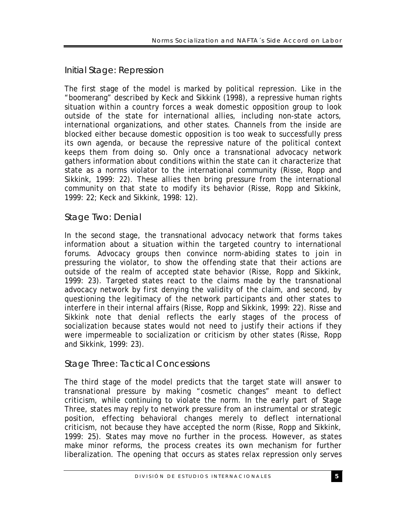# *Initial Stage: Repression*

The first stage of the model is marked by political repression. Like in the "boomerang" described by Keck and Sikkink (1998), a repressive human rights situation within a country forces a weak domestic opposition group to look outside of the state for international allies, including non-state actors, international organizations, and other states. Channels from the inside are blocked either because domestic opposition is too weak to successfully press its own agenda, or because the repressive nature of the political context keeps them from doing so. Only once a transnational advocacy network gathers information about conditions within the state can it characterize that state as a norms violator to the international community (Risse, Ropp and Sikkink, 1999: 22). These allies then bring pressure from the international community on that state to modify its behavior (Risse, Ropp and Sikkink, 1999: 22; Keck and Sikkink, 1998: 12).

### *Stage Two: Denial*

In the second stage, the transnational advocacy network that forms takes information about a situation within the targeted country to international forums. Advocacy groups then convince norm-abiding states to join in pressuring the violator, to show the offending state that their actions are outside of the realm of accepted state behavior (Risse, Ropp and Sikkink, 1999: 23). Targeted states react to the claims made by the transnational advocacy network by first denying the validity of the claim, and second, by questioning the legitimacy of the network participants and other states to interfere in their internal affairs (Risse, Ropp and Sikkink, 1999: 22). Risse and Sikkink note that denial reflects the early stages of the process of socialization because states would not need to justify their actions if they were impermeable to socialization or criticism by other states (Risse, Ropp and Sikkink, 1999: 23).

### *Stage Three: Tactical Concessions*

The third stage of the model predicts that the target state will answer to transnational pressure by making "cosmetic changes" meant to deflect criticism, while continuing to violate the norm. In the early part of Stage Three, states may reply to network pressure from an instrumental or strategic position, effecting behavioral changes merely to deflect international criticism, not because they have accepted the norm (Risse, Ropp and Sikkink, 1999: 25). States may move no further in the process. However, as states make minor reforms, the process creates its own mechanism for further liberalization. The opening that occurs as states relax repression only serves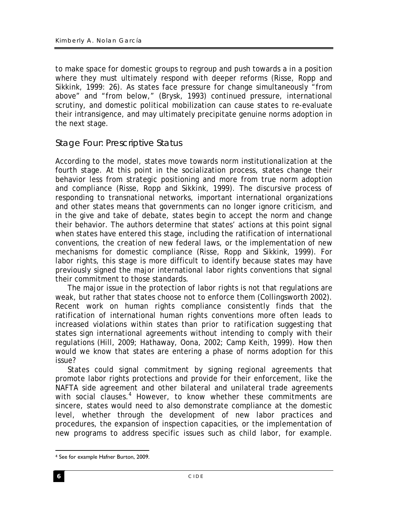to make space for domestic groups to regroup and push towards a in a position where they must ultimately respond with deeper reforms (Risse, Ropp and Sikkink, 1999: 26). As states face pressure for change simultaneously "from above" and "from below," (Brysk, 1993) continued pressure, international scrutiny, and domestic political mobilization can cause states to re-evaluate their intransigence, and may ultimately precipitate genuine norms adoption in the next stage.

### *Stage Four: Prescriptive Status*

According to the model, states move towards norm institutionalization at the fourth stage. At this point in the socialization process, states change their behavior less from strategic positioning and more from true norm adoption and compliance (Risse, Ropp and Sikkink, 1999). The discursive process of responding to transnational networks, important international organizations and other states means that governments can no longer ignore criticism, and in the give and take of debate, states begin to accept the norm and change their behavior. The authors determine that states' actions at this point signal when states have entered this stage, including the ratification of international conventions, the creation of new federal laws, or the implementation of new mechanisms for domestic compliance (Risse, Ropp and Sikkink, 1999). For labor rights, this stage is more difficult to identify because states may have previously signed the major international labor rights conventions that signal their commitment to those standards.

The major issue in the protection of labor rights is not that regulations are weak, but rather that states choose not to enforce them (Collingsworth 2002). Recent work on human rights compliance consistently finds that the ratification of international human rights conventions more often leads to increased violations within states than prior to ratification suggesting that states sign international agreements without intending to comply with their regulations (Hill, 2009; Hathaway, Oona, 2002; Camp Keith, 1999). How then would we know that states are entering a phase of norms adoption for this issue?

States could signal commitment by signing regional agreements that promote labor rights protections and provide for their enforcement, like the NAFTA side agreement and other bilateral and unilateral trade agreements with social clauses.<sup>4</sup> However, to know whether these commitments are sincere, states would need to also demonstrate compliance at the domestic level, whether through the development of new labor practices and procedures, the expansion of inspection capacities, or the implementation of new programs to address specific issues such as child labor, for example.

<sup>&</sup>lt;u>.</u> 4 See for example Hafner Burton, 2009.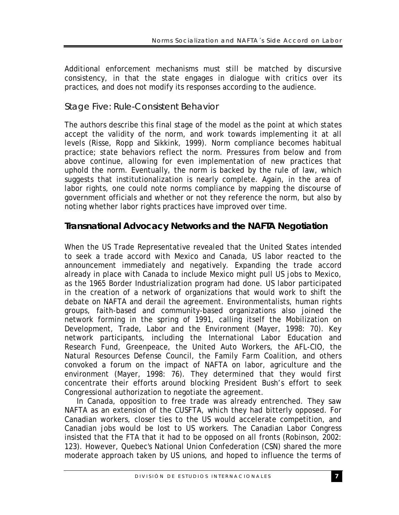Additional enforcement mechanisms must still be matched by discursive consistency, in that the state engages in dialogue with critics over its practices, and does not modify its responses according to the audience.

# *Stage Five: Rule-Consistent Behavior*

The authors describe this final stage of the model as the point at which states accept the validity of the norm, and work towards implementing it at all levels (Risse, Ropp and Sikkink, 1999). Norm compliance becomes habitual practice; state behaviors reflect the norm. Pressures from below and from above continue, allowing for even implementation of new practices that uphold the norm. Eventually, the norm is backed by the rule of law, which suggests that institutionalization is nearly complete. Again, in the area of labor rights, one could note norms compliance by mapping the discourse of government officials and whether or not they reference the norm, but also by noting whether labor rights practices have improved over time.

# *Transnational Advocacy Networks and the NAFTA Negotiation*

When the US Trade Representative revealed that the United States intended to seek a trade accord with Mexico and Canada, US labor reacted to the announcement immediately and negatively. Expanding the trade accord already in place with Canada to include Mexico might pull US jobs to Mexico, as the 1965 Border Industrialization program had done. US labor participated in the creation of a network of organizations that would work to shift the debate on NAFTA and derail the agreement. Environmentalists, human rights groups, faith-based and community-based organizations also joined the network forming in the spring of 1991, calling itself the Mobilization on Development, Trade, Labor and the Environment (Mayer, 1998: 70). Key network participants, including the International Labor Education and Research Fund, Greenpeace, the United Auto Workers, the AFL-CIO, the Natural Resources Defense Council, the Family Farm Coalition, and others convoked a forum on the impact of NAFTA on labor, agriculture and the environment (Mayer, 1998: 76). They determined that they would first concentrate their efforts around blocking President Bush's effort to seek Congressional authorization to negotiate the agreement.

In Canada, opposition to free trade was already entrenched. They saw NAFTA as an extension of the CUSFTA, which they had bitterly opposed. For Canadian workers, closer ties to the US would accelerate competition, and Canadian jobs would be lost to US workers. The Canadian Labor Congress insisted that the FTA that it had to be opposed on all fronts (Robinson, 2002: 123). However, Quebec's National Union Confederation (CSN) shared the more moderate approach taken by US unions, and hoped to influence the terms of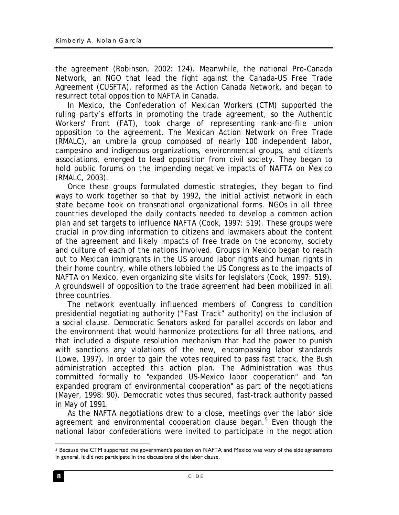the agreement (Robinson, 2002: 124). Meanwhile, the national Pro-Canada Network, an NGO that lead the fight against the Canada-US Free Trade Agreement (CUSFTA), reformed as the Action Canada Network, and began to resurrect total opposition to NAFTA in Canada.

In Mexico, the Confederation of Mexican Workers (CTM) supported the ruling party's efforts in promoting the trade agreement, so the Authentic Workers' Front (FAT), took charge of representing rank-and-file union opposition to the agreement. The Mexican Action Network on Free Trade (RMALC), an umbrella group composed of nearly 100 independent labor, campesino and indigenous organizations, environmental groups, and citizen's associations, emerged to lead opposition from civil society. They began to hold public forums on the impending negative impacts of NAFTA on Mexico (RMALC, 2003).

Once these groups formulated domestic strategies, they began to find ways to work together so that by 1992, the initial activist network in each state became took on transnational organizational forms. NGOs in all three countries developed the daily contacts needed to develop a common action plan and set targets to influence NAFTA (Cook, 1997: 519). These groups were crucial in providing information to citizens and lawmakers about the content of the agreement and likely impacts of free trade on the economy, society and culture of each of the nations involved. Groups in Mexico began to reach out to Mexican immigrants in the US around labor rights and human rights in their home country, while others lobbied the US Congress as to the impacts of NAFTA on Mexico, even organizing site visits for legislators (Cook, 1997: 519). A groundswell of opposition to the trade agreement had been mobilized in all three countries.

The network eventually influenced members of Congress to condition presidential negotiating authority ("Fast Track" authority) on the inclusion of a social clause. Democratic Senators asked for parallel accords on labor and the environment that would harmonize protections for all three nations, and that included a dispute resolution mechanism that had the power to punish with sanctions any violations of the new, encompassing labor standards (Lowe, 1997). In order to gain the votes required to pass fast track, the Bush administration accepted this action plan. The Administration was thus committed formally to "expanded US-Mexico labor cooperation" and "an expanded program of environmental cooperation" as part of the negotiations (Mayer, 1998: 90). Democratic votes thus secured, fast-track authority passed in May of 1991.

As the NAFTA negotiations drew to a close, meetings over the labor side agreement and environmental cooperation clause began.<sup>5</sup> Even though the national labor confederations were invited to participate in the negotiation

<sup>1</sup> 5 Because the CTM supported the government's position on NAFTA and Mexico was wary of the side agreements in general, it did not participate in the discussions of the labor clause.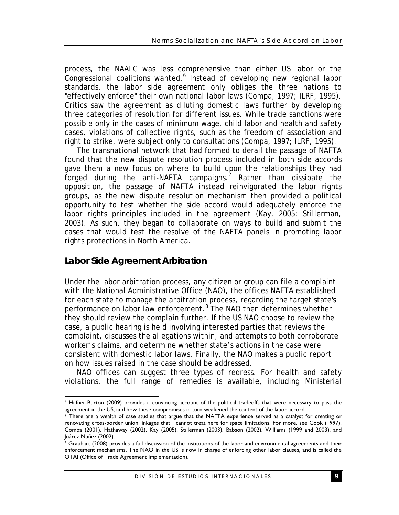process, the NAALC was less comprehensive than either US labor or the .<br>Congressional coalitions wanted.<sup>6</sup> Instead of developing new regional labor standards, the labor side agreement only obliges the three nations to "effectively enforce" their own national labor laws (Compa, 1997; ILRF, 1995). Critics saw the agreement as diluting domestic laws further by developing three categories of resolution for different issues. While trade sanctions were possible only in the cases of minimum wage, child labor and health and safety cases, violations of collective rights, such as the freedom of association and right to strike, were subject only to consultations (Compa, 1997; ILRF, 1995).

The transnational network that had formed to derail the passage of NAFTA found that the new dispute resolution process included in both side accords gave them a new focus on where to build upon the relationships they had forged during the anti-NAFTA campaigns.<sup>7</sup> Rather than dissipate the opposition, the passage of NAFTA instead reinvigorated the labor rights groups, as the new dispute resolution mechanism then provided a political opportunity to test whether the side accord would adequately enforce the labor rights principles included in the agreement (Kay, 2005; Stillerman, 2003). As such, they began to collaborate on ways to build and submit the cases that would test the resolve of the NAFTA panels in promoting labor rights protections in North America.

### *Labor Side Agreement Arbitration*

1

Under the labor arbitration process, any citizen or group can file a complaint with the National Administrative Office (NAO), the offices NAFTA established for each state to manage the arbitration process, regarding the target state's performance on labor law enforcement.<sup>8</sup> The NAO then determines whether they should review the complain further. If the US NAO choose to review the case, a public hearing is held involving interested parties that reviews the complaint, discusses the allegations within, and attempts to both corroborate worker's claims, and determine whether state's actions in the case were consistent with domestic labor laws. Finally, the NAO makes a public report on how issues raised in the case should be addressed.

NAO offices can suggest three types of redress. For health and safety violations, the full range of remedies is available, including Ministerial

<sup>6</sup> Hafner-Burton (2009) provides a convincing account of the political tradeoffs that were necessary to pass the agreement in the US, and how these compromises in turn weakened the content of the labor accord.

<sup>7</sup> There are a wealth of case studies that argue that the NAFTA experience served as a catalyst for creating or renovating cross-border union linkages that I cannot treat here for space limitations. For more, see Cook (1997), Compa (2001), Hathaway (2002), Kay (2005), Stillerman (2003), Babson (2002), Williams (1999 and 2003), and Juárez Núñez (2002).

<sup>8</sup> Graubart (2008) provides a full discussion of the institutions of the labor and environmental agreements and their enforcement mechanisms. The NAO in the US is now in charge of enforcing other labor clauses, and is called the OTAI (Office of Trade Agreement Implementation).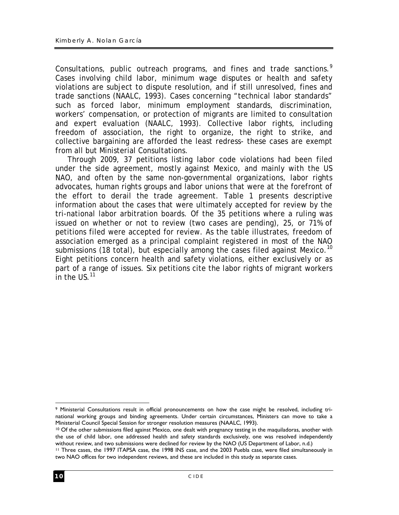Consultations, public outreach programs, and fines and trade sanctions.<sup>9</sup> Cases involving child labor, minimum wage disputes or health and safety violations are subject to dispute resolution, and if still unresolved, fines and trade sanctions (NAALC, 1993). Cases concerning "technical labor standards" such as forced labor, minimum employment standards, discrimination, workers' compensation, or protection of migrants are limited to consultation and expert evaluation (NAALC, 1993). Collective labor rights, including freedom of association, the right to organize, the right to strike, and collective bargaining are afforded the least redress- these cases are exempt from all but Ministerial Consultations.

Through 2009, 37 petitions listing labor code violations had been filed under the side agreement, mostly against Mexico, and mainly with the US NAO, and often by the same non-governmental organizations, labor rights advocates, human rights groups and labor unions that were at the forefront of the effort to derail the trade agreement. Table 1 presents descriptive information about the cases that were ultimately accepted for review by the tri-national labor arbitration boards. Of the 35 petitions where a ruling was issued on whether or not to review (two cases are pending), 25, or 71% of petitions filed were accepted for review. As the table illustrates, freedom of association emerged as a principal complaint registered in most of the NAO submissions (18 total), but especially among the cases filed against Mexico.<sup>10</sup> Eight petitions concern health and safety violations, either exclusively or as part of a range of issues. Six petitions cite the labor rights of migrant workers in the  $US<sup>11</sup>$ 

1

<sup>9</sup> Ministerial Consultations result in official pronouncements on how the case might be resolved, including trinational working groups and binding agreements. Under certain circumstances, Ministers can move to take a Ministerial Council Special Session for stronger resolution measures (NAALC, 1993).

<sup>&</sup>lt;sup>10</sup> Of the other submissions filed against Mexico, one dealt with pregnancy testing in the maquiladoras, another with the use of child labor, one addressed health and safety standards exclusively, one was resolved independently without review, and two submissions were declined for review by the NAO (US Department of Labor, n.d.)

<sup>11</sup> Three cases, the 1997 ITAPSA case, the 1998 INS case, and the 2003 Puebla case, were filed simultaneously in two NAO offices for two independent reviews, and these are included in this study as separate cases.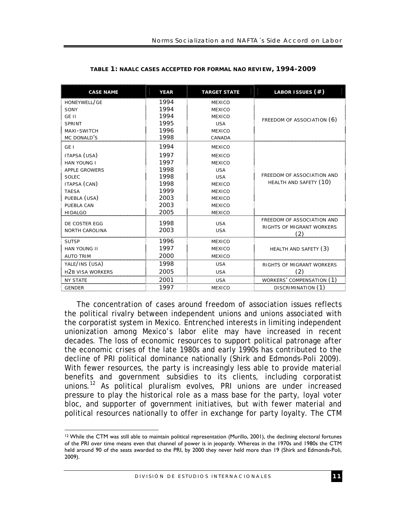| <b>CASE NAME</b>        | <b>YEAR</b> | <b>TARGET STATE</b> | LABOR ISSUES (#)                 |
|-------------------------|-------------|---------------------|----------------------------------|
| HONEYWELL/GE            | 1994        | <b>MEXICO</b>       |                                  |
| SONY                    | 1994        | <b>MEXICO</b>       |                                  |
| GE II                   | 1994        | <b>MEXICO</b>       | FREEDOM OF ASSOCIATION (6)       |
| SPRINT                  | 1995        | <b>USA</b>          |                                  |
| MAXI-SWITCH             | 1996        | <b>MEXICO</b>       |                                  |
| MC DONALD'S             | 1998        | CANADA              |                                  |
| GE <sub>1</sub>         | 1994        | <b>MEXICO</b>       |                                  |
| ITAPSA (USA)            | 1997        | <b>MEXICO</b>       |                                  |
| <b>HAN YOUNG I</b>      | 1997        | <b>MEXICO</b>       |                                  |
| <b>APPLE GROWERS</b>    | 1998        | <b>USA</b>          |                                  |
| SOLEC                   | 1998        | <b>USA</b>          | FREEDOM OF ASSOCIATION AND       |
| ITAPSA (CAN)            | 1998        | <b>MEXICO</b>       | HEALTH AND SAFETY (10)           |
| <b>TAESA</b>            | 1999        | <b>MEXICO</b>       |                                  |
| PUEBLA (USA)            | 2003        | <b>MEXICO</b>       |                                  |
| PUEBLA CAN              | 2003        | <b>MEXICO</b>       |                                  |
| <b>HIDALGO</b>          | 2005        | <b>MEXICO</b>       |                                  |
| DE COSTER EGG           | 1998        | <b>USA</b>          | FREEDOM OF ASSOCIATION AND       |
| <b>NORTH CAROLINA</b>   | 2003        | <b>USA</b>          | RIGHTS OF MIGRANT WORKERS<br>(2) |
| <b>SUTSP</b>            | 1996        | <b>MEXICO</b>       |                                  |
| <b>HAN YOUNG II</b>     | 1997        | <b>MEXICO</b>       | HEALTH AND SAFETY (3)            |
| <b>AUTO TRIM</b>        | 2000        | <b>MEXICO</b>       |                                  |
| YALE/INS (USA)          | 1998        | <b>USA</b>          | RIGHTS OF MIGRANT WORKERS        |
| <b>H2B VISA WORKERS</b> | 2005        | <b>USA</b>          | (2)                              |
| <b>NY STATE</b>         | 2001        | <b>USA</b>          | WORKERS' COMPENSATION (1)        |
| <b>GENDER</b>           | 1997        | <b>MEXICO</b>       | DISCRIMINATION (1)               |

#### **TABLE 1: NAALC CASES ACCEPTED FOR FORMAL NAO REVIEW, 1994-2009**

The concentration of cases around freedom of association issues reflects the political rivalry between independent unions and unions associated with the corporatist system in Mexico. Entrenched interests in limiting independent unionization among Mexico's labor elite may have increased in recent decades. The loss of economic resources to support political patronage after the economic crises of the late 1980s and early 1990s has contributed to the decline of PRI political dominance nationally (Shirk and Edmonds-Poli 2009). With fewer resources, the party is increasingly less able to provide material benefits and government subsidies to its clients, including corporatist unions.12 As political pluralism evolves, PRI unions are under increased pressure to play the historical role as a mass base for the party, loyal voter bloc, and supporter of government initiatives, but with fewer material and political resources nationally to offer in exchange for party loyalty. The CTM

<sup>1</sup> <sup>12</sup> While the CTM was still able to maintain political representation (Murillo, 2001), the declining electoral fortunes of the PRI over time means even that channel of power is in jeopardy. Whereas in the 1970s and 1980s the CTM held around 90 of the seats awarded to the PRI, by 2000 they never held more than 19 (Shirk and Edmonds-Poli, 2009).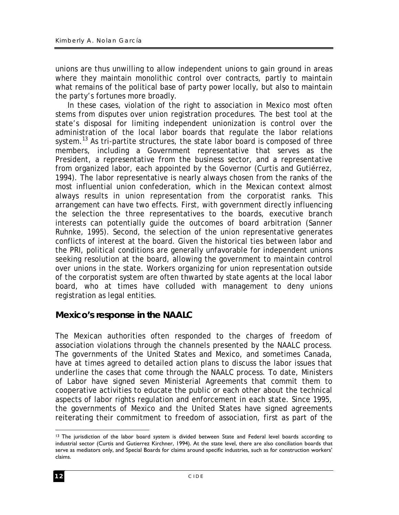unions are thus unwilling to allow independent unions to gain ground in areas where they maintain monolithic control over contracts, partly to maintain what remains of the political base of party power locally, but also to maintain the party's fortunes more broadly.

In these cases, violation of the right to association in Mexico most often stems from disputes over union registration procedures. The best tool at the state's disposal for limiting independent unionization is control over the administration of the local labor boards that regulate the labor relations system.<sup>13</sup> As tri-partite structures, the state labor board is composed of three members, including a Government representative that serves as the President, a representative from the business sector, and a representative from organized labor, each appointed by the Governor (Curtis and Gutiérrez, 1994). The labor representative is nearly always chosen from the ranks of the most influential union confederation, which in the Mexican context almost always results in union representation from the corporatist ranks. This arrangement can have two effects. First, with government directly influencing the selection the three representatives to the boards, executive branch interests can potentially guide the outcomes of board arbitration (Sanner Ruhnke, 1995). Second, the selection of the union representative generates conflicts of interest at the board. Given the historical ties between labor and the PRI, political conditions are generally unfavorable for independent unions seeking resolution at the board, allowing the government to maintain control over unions in the state. Workers organizing for union representation outside of the corporatist system are often thwarted by state agents at the local labor board, who at times have colluded with management to deny unions registration as legal entities.

# *Mexico's response in the NAALC*

The Mexican authorities often responded to the charges of freedom of association violations through the channels presented by the NAALC process. The governments of the United States and Mexico, and sometimes Canada, have at times agreed to detailed action plans to discuss the labor issues that underline the cases that come through the NAALC process. To date, Ministers of Labor have signed seven Ministerial Agreements that commit them to cooperative activities to educate the public or each other about the technical aspects of labor rights regulation and enforcement in each state. Since 1995, the governments of Mexico and the United States have signed agreements reiterating their commitment to freedom of association, first as part of the

<sup>1</sup> <sup>13</sup> The jurisdiction of the labor board system is divided between State and Federal level boards according to industrial sector (Curtis and Gutierrez Kirchner, 1994). At the state level, there are also conciliation boards that serve as mediators only, and Special Boards for claims around specific industries, such as for construction workers' claims.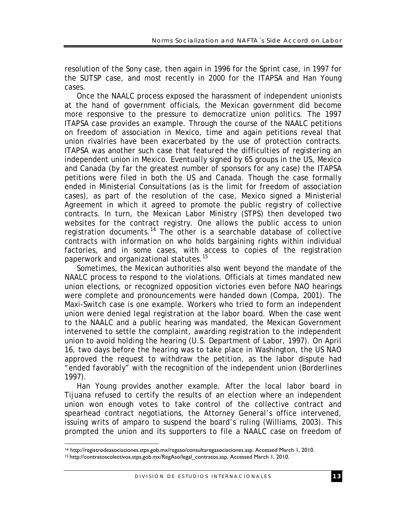resolution of the Sony case, then again in 1996 for the Sprint case, in 1997 for the SUTSP case, and most recently in 2000 for the ITAPSA and Han Young cases.

Once the NAALC process exposed the harassment of independent unionists at the hand of government officials, the Mexican government did become more responsive to the pressure to democratize union politics. The 1997 ITAPSA case provides an example. Through the course of the NAALC petitions on freedom of association in Mexico, time and again petitions reveal that union rivalries have been exacerbated by the use of protection contracts. ITAPSA was another such case that featured the difficulties of registering an independent union in Mexico. Eventually signed by 65 groups in the US, Mexico and Canada (by far the greatest number of sponsors for any case) the ITAPSA petitions were filed in both the US and Canada. Though the case formally ended in Ministerial Consultations (as is the limit for freedom of association cases), as part of the resolution of the case, Mexico signed a Ministerial Agreement in which it agreed to promote the public registry of collective contracts. In turn, the Mexican Labor Ministry (STPS) then developed two websites for the contract registry. One allows the public access to union registration documents.<sup>14</sup> The other is a searchable database of collective contracts with information on who holds bargaining rights within individual factories, and in some cases, with access to copies of the registration paperwork and organizational statutes.<sup>15</sup>

Sometimes, the Mexican authorities also went beyond the mandate of the NAALC process to respond to the violations. Officials at times mandated new union elections, or recognized opposition victories even before NAO hearings were complete and pronouncements were handed down (Compa, 2001). The Maxi-Switch case is one example. Workers who tried to form an independent union were denied legal registration at the labor board. When the case went to the NAALC and a public hearing was mandated, the Mexican Government intervened to settle the complaint, awarding registration to the independent union to avoid holding the hearing (U.S. Department of Labor, 1997). On April 16, two days before the hearing was to take place in Washington, the US NAO approved the request to withdraw the petition, as the labor dispute had "ended favorably" with the recognition of the independent union (Borderlines 1997).

Han Young provides another example. After the local labor board in Tijuana refused to certify the results of an election where an independent union won enough votes to take control of the collective contract and spearhead contract negotiations, the Attorney General's office intervened, issuing writs of *amparo* to suspend the board's ruling (Williams, 2003). This prompted the union and its supporters to file a NAALC case on freedom of

<sup>1</sup> 14 http://registrodeasociaciones.stps.gob.mx/regaso/consultaregasociaciones.asp. Accessed March 1, 2010.

<sup>15</sup> http://contratoscolectivos.stps.gob.mx/RegAso/legal\_contratos.asp. Accessed March 1, 2010.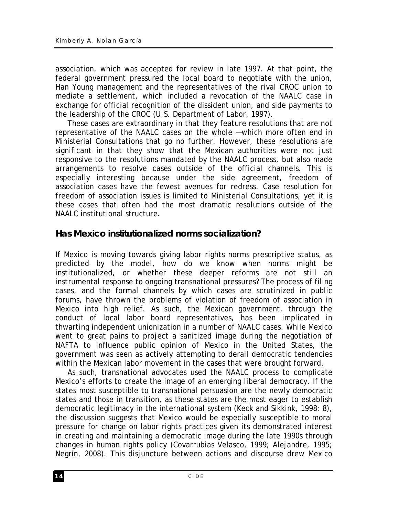association, which was accepted for review in late 1997. At that point, the federal government pressured the local board to negotiate with the union, Han Young management and the representatives of the rival CROC union to mediate a settlement, which included a revocation of the NAALC case in exchange for official recognition of the dissident union, and side payments to the leadership of the CROC (U.S. Department of Labor, 1997).

These cases are extraordinary in that they feature resolutions that are not representative of the NAALC cases on the whole —which more often end in Ministerial Consultations that go no further. However, these resolutions are significant in that they show that the Mexican authorities were not just responsive to the resolutions mandated by the NAALC process, but also made arrangements to resolve cases outside of the official channels. This is especially interesting because under the side agreement, freedom of association cases have the fewest avenues for redress. Case resolution for freedom of association issues is limited to Ministerial Consultations, yet it is these cases that often had the most dramatic resolutions outside of the NAALC institutional structure.

# *Has Mexico institutionalized norms socialization?*

If Mexico is moving towards giving labor rights norms prescriptive status, as predicted by the model, how do we know when norms might be institutionalized, or whether these deeper reforms are not still an instrumental response to ongoing transnational pressures? The process of filing cases, and the formal channels by which cases are scrutinized in public forums, have thrown the problems of violation of freedom of association in Mexico into high relief. As such, the Mexican government, through the conduct of local labor board representatives, has been implicated in thwarting independent unionization in a number of NAALC cases. While Mexico went to great pains to project a sanitized image during the negotiation of NAFTA to influence public opinion of Mexico in the United States, the government was seen as actively attempting to derail democratic tendencies within the Mexican labor movement in the cases that were brought forward.

As such, transnational advocates used the NAALC process to complicate Mexico's efforts to create the image of an emerging liberal democracy. If the states most susceptible to transnational persuasion are the newly democratic states and those in transition, as these states are the most eager to establish democratic legitimacy in the international system (Keck and Sikkink, 1998: 8), the discussion suggests that Mexico would be especially susceptible to moral pressure for change on labor rights practices given its demonstrated interest in creating and maintaining a democratic image during the late 1990s through changes in human rights policy (Covarrubias Velasco, 1999; Alejandre, 1995; Negrín, 2008). This disjuncture between actions and discourse drew Mexico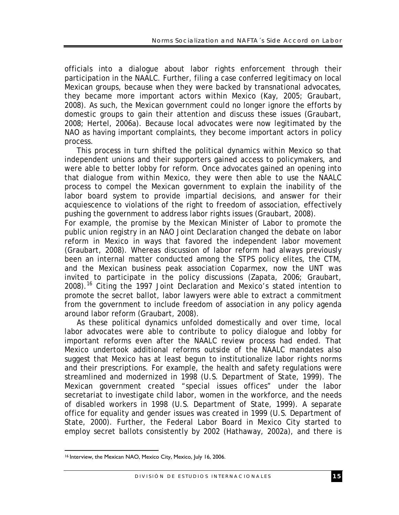officials into a dialogue about labor rights enforcement through their participation in the NAALC. Further, filing a case conferred legitimacy on local Mexican groups, because when they were backed by transnational advocates, they became more important actors within Mexico (Kay, 2005; Graubart, 2008). As such, the Mexican government could no longer ignore the efforts by domestic groups to gain their attention and discuss these issues (Graubart, 2008; Hertel, 2006a). Because local advocates were now legitimated by the NAO as having important complaints, they become important actors in policy process.

This process in turn shifted the political dynamics within Mexico so that independent unions and their supporters gained access to policymakers, and were able to better lobby for reform. Once advocates gained an opening into that dialogue from within Mexico, they were then able to use the NAALC process to compel the Mexican government to explain the inability of the labor board system to provide impartial decisions, and answer for their acquiescence to violations of the right to freedom of association, effectively pushing the government to address labor rights issues (Graubart, 2008).

For example, the promise by the Mexican Minister of Labor to promote the public union registry in an NAO Joint Declaration changed the debate on labor reform in Mexico in ways that favored the independent labor movement (Graubart, 2008). Whereas discussion of labor reform had always previously been an internal matter conducted among the STPS policy elites, the CTM, and the Mexican business peak association Coparmex, now the UNT was invited to participate in the policy discussions (Zapata, 2006; Graubart, 2008).<sup>16</sup> Citing the 1997 Joint Declaration and Mexico's stated intention to promote the secret ballot, labor lawyers were able to extract a commitment from the government to include freedom of association in any policy agenda around labor reform (Graubart, 2008).

As these political dynamics unfolded domestically and over time, local labor advocates were able to contribute to policy dialogue and lobby for important reforms even after the NAALC review process had ended. That Mexico undertook additional reforms outside of the NAALC mandates also suggest that Mexico has at least begun to institutionalize labor rights norms and their prescriptions. For example, the health and safety regulations were streamlined and modernized in 1998 (U.S. Department of State, 1999). The Mexican government created "special issues offices" under the labor secretariat to investigate child labor, women in the workforce, and the needs of disabled workers in 1998 (U.S. Department of State, 1999). A separate office for equality and gender issues was created in 1999 (U.S. Department of State, 2000). Further, the Federal Labor Board in Mexico City started to employ secret ballots consistently by 2002 (Hathaway, 2002a), and there is

<sup>&</sup>lt;u>.</u> 16 Interview, the Mexican NAO, Mexico City, Mexico, July 16, 2006.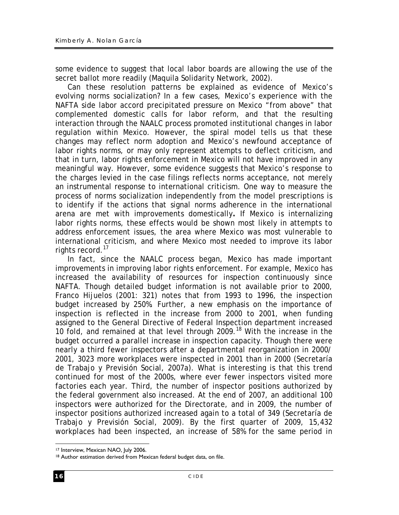some evidence to suggest that local labor boards are allowing the use of the secret ballot more readily (Maquila Solidarity Network, 2002).

Can these resolution patterns be explained as evidence of Mexico's evolving norms socialization? In a few cases, Mexico's experience with the NAFTA side labor accord precipitated pressure on Mexico "from above" that complemented domestic calls for labor reform, and that the resulting interaction through the NAALC process promoted institutional changes in labor regulation within Mexico. However, the spiral model tells us that these changes may reflect norm adoption and Mexico's newfound acceptance of labor rights norms, or may only represent attempts to deflect criticism, and that in turn, labor rights enforcement in Mexico will not have improved in any meaningful way. However, some evidence suggests that Mexico's response to the charges levied in the case filings reflects norms acceptance, not merely an instrumental response to international criticism. One way to measure the process of norms socialization independently from the model prescriptions is to identify if the actions that signal norms adherence in the international arena are met with improvements domestically**.** If Mexico is internalizing labor rights norms, these effects would be shown most likely in attempts to address enforcement issues, the area where Mexico was most vulnerable to international criticism, and where Mexico most needed to improve its labor rights record.<sup>17</sup>

In fact, since the NAALC process began, Mexico has made important improvements in improving labor rights enforcement. For example, Mexico has increased the availability of resources for inspection continuously since NAFTA. Though detailed budget information is not available prior to 2000, Franco Hijuelos (2001: 321) notes that from 1993 to 1996, the inspection budget increased by 250%. Further, a new emphasis on the importance of inspection is reflected in the increase from 2000 to 2001, when funding assigned to the General Directive of Federal Inspection department increased 10 fold, and remained at that level through 2009.<sup>18</sup> With the increase in the budget occurred a parallel increase in inspection capacity. Though there were nearly a third fewer inspectors after a departmental reorganization in 2000/ 2001, 3023 more workplaces were inspected in 2001 than in 2000 (Secretaría de Trabajo y Previsión Social, 2007a). What is interesting is that this trend continued for most of the 2000s, where ever fewer inspectors visited more factories each year. Third, the number of inspector positions authorized by the federal government also increased. At the end of 2007, an additional 100 inspectors were authorized for the Directorate, and in 2009, the number of inspector positions authorized increased again to a total of 349 (Secretaría de Trabajo y Previsión Social, 2009). By the first quarter of 2009, 15,432 workplaces had been inspected, an increase of 58% for the same period in

<sup>1</sup> 17 Interview, Mexican NAO, July 2006.

<sup>18</sup> Author estimation derived from Mexican federal budget data, on file.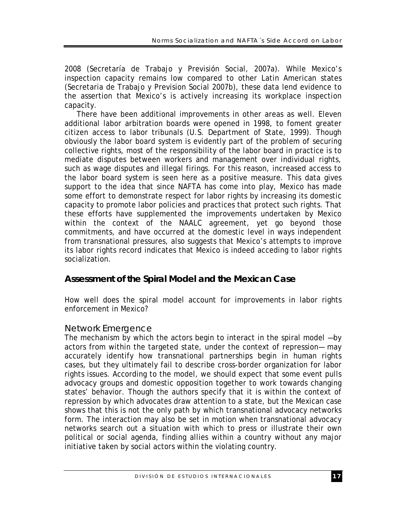2008 (Secretaría de Trabajo y Previsión Social, 2007a). While Mexico's inspection capacity remains low compared to other Latin American states (Secretaria de Trabajo y Prevision Social 2007b), these data lend evidence to the assertion that Mexico's is actively increasing its workplace inspection capacity.

There have been additional improvements in other areas as well. Eleven additional labor arbitration boards were opened in 1998, to foment greater citizen access to labor tribunals (U.S. Department of State, 1999). Though obviously the labor board system is evidently part of the problem of securing collective rights, most of the responsibility of the labor board in practice is to mediate disputes between workers and management over individual rights, such as wage disputes and illegal firings. For this reason, increased access to the labor board system is seen here as a positive measure. This data gives support to the idea that since NAFTA has come into play, Mexico has made some effort to demonstrate respect for labor rights by increasing its domestic capacity to promote labor policies and practices that protect such rights. That these efforts have supplemented the improvements undertaken by Mexico within the context of the NAALC agreement, yet go beyond those commitments, and have occurred at the domestic level in ways independent from transnational pressures, also suggests that Mexico's attempts to improve its labor rights record indicates that Mexico is indeed acceding to labor rights socialization.

### *Assessment of the Spiral Model and the Mexican Case*

How well does the spiral model account for improvements in labor rights enforcement in Mexico?

#### *Network Emergence*

The mechanism by which the actors begin to interact in the spiral model —by actors from within the targeted state, under the context of repression— may accurately identify how transnational partnerships begin in human rights cases, but they ultimately fail to describe cross-border organization for labor rights issues. According to the model, we should expect that some event pulls advocacy groups and domestic opposition together to work towards changing states' behavior. Though the authors specify that it is within the context of repression by which advocates draw attention to a state, but the Mexican case shows that this is not the only path by which transnational advocacy networks form. The interaction may also be set in motion when transnational advocacy networks search out a situation with which to press or illustrate their own political or social agenda, finding allies within a country without any major initiative taken by social actors within the violating country.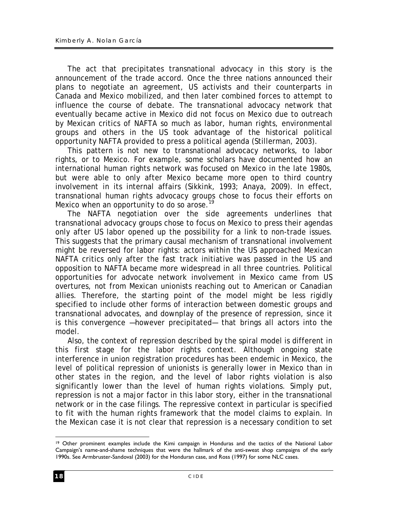The act that precipitates transnational advocacy in this story is the announcement of the trade accord. Once the three nations announced their plans to negotiate an agreement, US activists and their counterparts in Canada and Mexico mobilized, and then later combined forces to attempt to influence the course of debate. The transnational advocacy network that eventually became active in Mexico did not focus on Mexico due to outreach by Mexican critics of NAFTA so much as labor, human rights, environmental groups and others in the US took advantage of the historical political opportunity NAFTA provided to press a political agenda (Stillerman, 2003).

This pattern is not new to transnational advocacy networks, to labor rights, or to Mexico. For example, some scholars have documented how an international human rights network was focused on Mexico in the late 1980s, but were able to only after Mexico became more open to third country involvement in its internal affairs (Sikkink, 1993; Anaya, 2009). In effect, transnational human rights advocacy groups chose to focus their efforts on Mexico when an opportunity to do so arose.<sup>1</sup>

The NAFTA negotiation over the side agreements underlines that transnational advocacy groups chose to focus on Mexico to press their agendas only after US labor opened up the possibility for a link to non-trade issues. This suggests that the primary causal mechanism of transnational involvement might be reversed for labor rights: actors within the US approached Mexican NAFTA critics only after the fast track initiative was passed in the US and opposition to NAFTA became more widespread in all three countries. Political opportunities for advocate network involvement in Mexico came from US overtures, not from Mexican unionists reaching out to American or Canadian allies. Therefore, the starting point of the model might be less rigidly specified to include other forms of interaction between domestic groups and transnational advocates, and downplay of the presence of repression, since it is this convergence —however precipitated— that brings all actors into the model.

Also, the context of repression described by the spiral model is different in this first stage for the labor rights context. Although ongoing state interference in union registration procedures has been endemic in Mexico, the level of political repression of unionists is generally lower in Mexico than in other states in the region, and the level of labor rights violation is also significantly lower than the level of human rights violations. Simply put, repression is not a major factor in this labor story, either in the transnational network or in the case filings. The repressive context in particular is specified to fit with the human rights framework that the model claims to explain. In the Mexican case it is not clear that repression is a necessary condition to set

<sup>1</sup> 19 Other prominent examples include the Kimi campaign in Honduras and the tactics of the National Labor Campaign's name-and-shame techniques that were the hallmark of the anti-sweat shop campaigns of the early 1990s. See Armbruster-Sandoval (2003) for the Honduran case, and Ross (1997) for some NLC cases.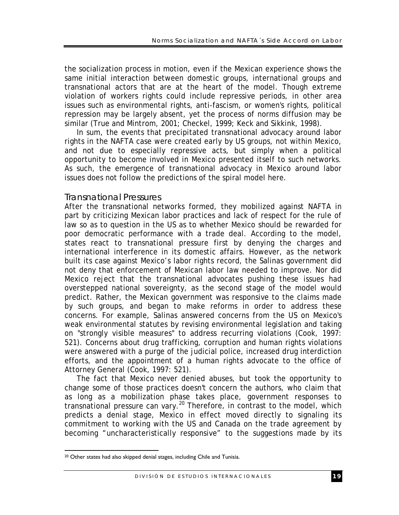the socialization process in motion, even if the Mexican experience shows the same initial interaction between domestic groups, international groups and transnational actors that are at the heart of the model. Though extreme violation of workers rights could include repressive periods, in other area issues such as environmental rights, anti-fascism, or women's rights, political repression may be largely absent, yet the process of norms diffusion may be similar (True and Mintrom, 2001; Checkel, 1999; Keck and Sikkink, 1998).

In sum, the events that precipitated transnational advocacy around labor rights in the NAFTA case were created early by US groups, not within Mexico, and not due to especially repressive acts, but simply when a political opportunity to become involved in Mexico presented itself to such networks. As such, the emergence of transnational advocacy in Mexico around labor issues does not follow the predictions of the spiral model here.

#### *Transnational Pressures*

After the transnational networks formed, they mobilized against NAFTA in part by criticizing Mexican labor practices and lack of respect for the rule of law so as to question in the US as to whether Mexico should be rewarded for poor democratic performance with a trade deal. According to the model, states react to transnational pressure first by denying the charges and international interference in its domestic affairs. However, as the network built its case against Mexico's labor rights record, the Salinas government did not deny that enforcement of Mexican labor law needed to improve. Nor did Mexico reject that the transnational advocates pushing these issues had overstepped national sovereignty, as the second stage of the model would predict. Rather, the Mexican government was responsive to the claims made by such groups, and began to make reforms in order to address these concerns. For example, Salinas answered concerns from the US on Mexico's weak environmental statutes by revising environmental legislation and taking on "strongly visible measures" to address recurring violations (Cook, 1997: 521). Concerns about drug trafficking, corruption and human rights violations were answered with a purge of the judicial police, increased drug interdiction efforts, and the appointment of a human rights advocate to the office of Attorney General (Cook, 1997: 521).

The fact that Mexico never denied abuses, but took the opportunity to change some of those practices doesn't concern the authors, who claim that as long as a mobilization phase takes place, government responses to transnational pressure can vary.20 Therefore, in contrast to the model, which predicts a denial stage, Mexico in effect moved directly to signaling its commitment to working with the US and Canada on the trade agreement by becoming "uncharacteristically responsive" to the suggestions made by its

<sup>&</sup>lt;u>.</u> 20 Other states had also skipped denial stages, including Chile and Tunisia.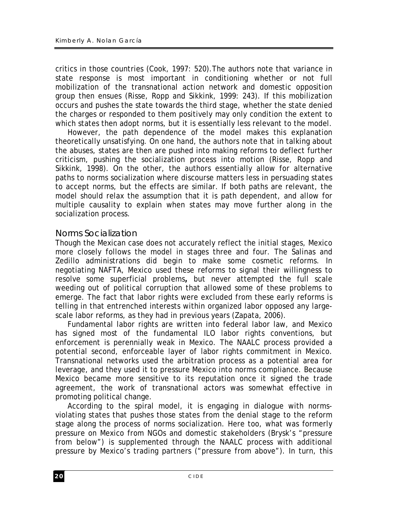critics in those countries (Cook, 1997: 520).The authors note that variance in state response is most important in conditioning whether or not full mobilization of the transnational action network and domestic opposition group then ensues (Risse, Ropp and Sikkink, 1999: 243). If this mobilization occurs and pushes the state towards the third stage, whether the state denied the charges or responded to them positively may only condition the extent to which states then adopt norms, but it is essentially less relevant to the model.

However, the path dependence of the model makes this explanation theoretically unsatisfying. On one hand, the authors note that in talking about the abuses, states are then are pushed into making reforms to deflect further criticism, pushing the socialization process into motion (Risse, Ropp and Sikkink, 1998). On the other, the authors essentially allow for alternative paths to norms socialization where discourse matters less in persuading states to accept norms, but the effects are similar. If both paths are relevant, the model should relax the assumption that it is path dependent, and allow for multiple causality to explain when states may move further along in the socialization process.

#### *Norms Socialization*

Though the Mexican case does not accurately reflect the initial stages, Mexico more closely follows the model in stages three and four. The Salinas and Zedillo administrations did begin to make some cosmetic reforms. In negotiating NAFTA, Mexico used these reforms to signal their willingness to resolve some superficial problems**,** but never attempted the full scale weeding out of political corruption that allowed some of these problems to emerge. The fact that labor rights were excluded from these early reforms is telling in that entrenched interests within organized labor opposed any largescale labor reforms, as they had in previous years (Zapata, 2006).

Fundamental labor rights are written into federal labor law, and Mexico has signed most of the fundamental ILO labor rights conventions, but enforcement is perennially weak in Mexico. The NAALC process provided a potential second, enforceable layer of labor rights commitment in Mexico. Transnational networks used the arbitration process as a potential area for leverage, and they used it to pressure Mexico into norms compliance. Because Mexico became more sensitive to its reputation once it signed the trade agreement, the work of transnational actors was somewhat effective in promoting political change.

According to the spiral model, it is engaging in dialogue with normsviolating states that pushes those states from the denial stage to the reform stage along the process of norms socialization. Here too, what was formerly pressure on Mexico from NGOs and domestic stakeholders (Brysk's "pressure from below") is supplemented through the NAALC process with additional pressure by Mexico's trading partners ("pressure from above"). In turn, this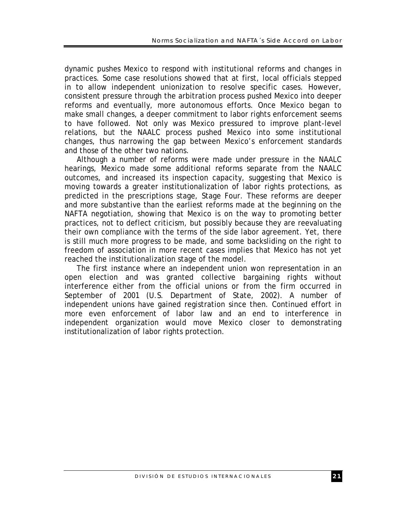dynamic pushes Mexico to respond with institutional reforms and changes in practices. Some case resolutions showed that at first, local officials stepped in to allow independent unionization to resolve specific cases. However, consistent pressure through the arbitration process pushed Mexico into deeper reforms and eventually, more autonomous efforts. Once Mexico began to make small changes, a deeper commitment to labor rights enforcement seems to have followed. Not only was Mexico pressured to improve plant-level relations, but the NAALC process pushed Mexico into some institutional changes, thus narrowing the gap between Mexico's enforcement standards and those of the other two nations.

Although a number of reforms were made under pressure in the NAALC hearings, Mexico made some additional reforms separate from the NAALC outcomes, and increased its inspection capacity, suggesting that Mexico is moving towards a greater institutionalization of labor rights protections, as predicted in the prescriptions stage, Stage Four. These reforms are deeper and more substantive than the earliest reforms made at the beginning on the NAFTA negotiation, showing that Mexico is on the way to promoting better practices, not to deflect criticism, but possibly because they are reevaluating their own compliance with the terms of the side labor agreement. Yet, there is still much more progress to be made, and some backsliding on the right to freedom of association in more recent cases implies that Mexico has not yet reached the institutionalization stage of the model.

The first instance where an independent union won representation in an open election and was granted collective bargaining rights without interference either from the official unions or from the firm occurred in September of 2001 (U.S. Department of State, 2002). A number of independent unions have gained registration since then. Continued effort in more even enforcement of labor law and an end to interference in independent organization would move Mexico closer to demonstrating institutionalization of labor rights protection.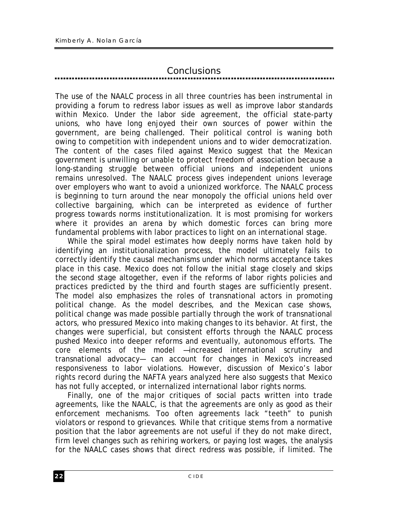# *Conclusions*

The use of the NAALC process in all three countries has been instrumental in providing a forum to redress labor issues as well as improve labor standards within Mexico. Under the labor side agreement, the official state-party unions, who have long enjoyed their own sources of power within the government, are being challenged. Their political control is waning both owing to competition with independent unions and to wider democratization. The content of the cases filed against Mexico suggest that the Mexican government is unwilling or unable to protect freedom of association because a long-standing struggle between official unions and independent unions remains unresolved. The NAALC process gives independent unions leverage over employers who want to avoid a unionized workforce. The NAALC process is beginning to turn around the near monopoly the official unions held over collective bargaining, which can be interpreted as evidence of further progress towards norms institutionalization. It is most promising for workers where it provides an arena by which domestic forces can bring more fundamental problems with labor practices to light on an international stage.

While the spiral model estimates how deeply norms have taken hold by identifying an institutionalization process, the model ultimately fails to correctly identify the causal mechanisms under which norms acceptance takes place in this case. Mexico does not follow the initial stage closely and skips the second stage altogether, even if the reforms of labor rights policies and practices predicted by the third and fourth stages are sufficiently present. The model also emphasizes the roles of transnational actors in promoting political change. As the model describes, and the Mexican case shows, political change was made possible partially through the work of transnational actors, who pressured Mexico into making changes to its behavior. At first, the changes were superficial, but consistent efforts through the NAALC process pushed Mexico into deeper reforms and eventually, autonomous efforts. The core elements of the model —increased international scrutiny and transnational advocacy— can account for changes in Mexico's increased responsiveness to labor violations. However, discussion of Mexico's labor rights record during the NAFTA years analyzed here also suggests that Mexico has not fully accepted, or internalized international labor rights norms.

Finally, one of the major critiques of social pacts written into trade agreements, like the NAALC, is that the agreements are only as good as their enforcement mechanisms. Too often agreements lack "teeth" to punish violators or respond to grievances. While that critique stems from a normative position that the labor agreements are not useful if they do not make direct, firm level changes such as rehiring workers, or paying lost wages, the analysis for the NAALC cases shows that direct redress was possible, if limited. The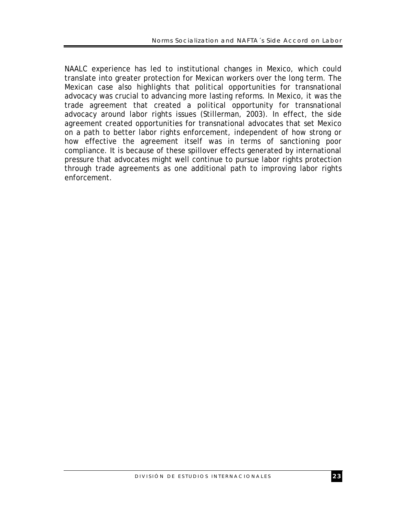NAALC experience has led to institutional changes in Mexico, which could translate into greater protection for Mexican workers over the long term. The Mexican case also highlights that political opportunities for transnational advocacy was crucial to advancing more lasting reforms. In Mexico, it was the trade agreement that created a political opportunity for transnational advocacy around labor rights issues (Stillerman, 2003). In effect, the side agreement created opportunities for transnational advocates that set Mexico on a path to better labor rights enforcement, independent of how strong or how effective the agreement itself was in terms of sanctioning poor compliance. It is because of these spillover effects generated by international pressure that advocates might well continue to pursue labor rights protection through trade agreements as one additional path to improving labor rights enforcement.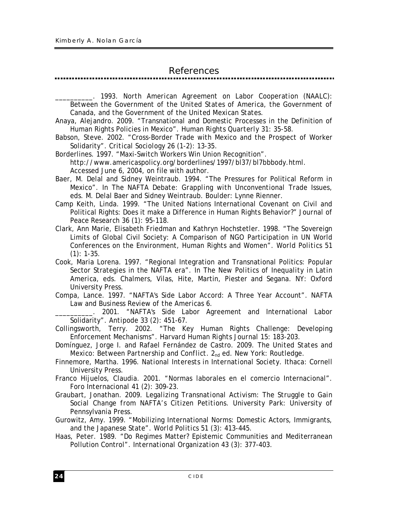# *References*

\_\_\_\_\_\_\_\_\_\_. 1993*. North American Agreement on Labor Cooperation (NAALC): Between the Government of the United States of America, the Government of Canada, and the Government of the United Mexican States.*

Anaya, Alejandro. 2009. "Transnational and Domestic Processes in the Definition of Human Rights Policies in Mexico". *Human Rights Quarterly* 31: 35-58.

Babson, Steve. 2002. "Cross-Border Trade with Mexico and the Prospect of Worker Solidarity". *Critical Sociology* 26 (1-2): 13-35.

Borderlines. 1997. "Maxi-Switch Workers Win Union Recognition". http://www.americaspolicy.org/borderlines/1997/bl37/bl7bbbody.html. Accessed June 6, 2004, on file with author.

Baer, M. Delal and Sidney Weintraub. 1994. "The Pressures for Political Reform in Mexico". In *The NAFTA Debate: Grappling with Unconventional Trade Issues*, eds. M. Delal Baer and Sidney Weintraub. Boulder: Lynne Rienner.

Camp Keith, Linda. 1999. "The United Nations International Covenant on Civil and Political Rights: Does it make a Difference in Human Rights Behavior?" *Journal of Peace Research* 36 (1): 95-118.

Clark, Ann Marie, Elisabeth Friedman and Kathryn Hochstetler. 1998. "The Sovereign Limits of Global Civil Society: A Comparison of NGO Participation in UN World Conferences on the Environment, Human Rights and Women". *World Politics* 51  $(1): 1-35.$ 

Cook, Maria Lorena. 1997. "Regional Integration and Transnational Politics: Popular Sector Strategies in the NAFTA era". In *The New Politics of Inequality in Latin America*, eds. Chalmers, Vilas, Hite, Martin, Piester and Segana. NY: Oxford University Press.

Compa, Lance. 1997. "NAFTA's Side Labor Accord: A Three Year Account". *NAFTA Law and Business Review of the Americas* 6.

2001. "NAFTA's Side Labor Agreement and International Labor Solidarity". *Antipode* 33 (2): 451-67.

Collingsworth, Terry. 2002. "The Key Human Rights Challenge: Developing Enforcement Mechanisms". *Harvard Human Rights Journal* 15: 183-203.

Domínguez, Jorge I. and Rafael Fernández de Castro. 2009. *The United States and Mexico: Between Partnership and Conflict.* 2<sub>nd</sub> ed. New York: Routledge.

Finnemore, Martha. 1996. *National Interests in International Society*. Ithaca: Cornell University Press.

Franco Hijuelos, Claudia. 2001. "Normas laborales en el comercio Internacional". *Foro Internacional* 41 (2): 309-23.

Graubart, Jonathan. 2009. *Legalizing Transnational Activism: The Struggle to Gain Social Change from NAFTA's Citizen Petitions*. University Park: University of Pennsylvania Press.

Gurowitz, Amy. 1999. "Mobilizing International Norms: Domestic Actors, Immigrants, and the Japanese State". *World Politics* 51 (3): 413-445.

Haas, Peter. 1989. "Do Regimes Matter? Epistemic Communities and Mediterranean Pollution Control". *International Organization* 43 (3): 377-403.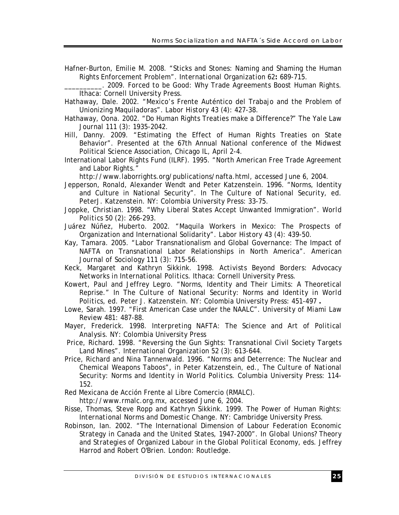- Hafner-Burton, Emilie M. 2008. "Sticks and Stones: Naming and Shaming the Human Rights Enforcement Problem". *International Organization* 62**:** 689-715.
- \_\_\_\_\_\_\_\_\_\_. 2009. *Forced to be Good: Why Trade Agreements Boost Human Rights*. Ithaca: Cornell University Press.
- Hathaway, Dale. 2002. "Mexico's Frente Auténtico del Trabajo and the Problem of Unionizing Maquiladoras". *Labor History* 43 (4): 427-38.
- Hathaway, Oona. 2002. "Do Human Rights Treaties make a Difference?" *The Yale Law Journal* 111 (3): 1935-2042.
- Hill, Danny. 2009. "Estimating the Effect of Human Rights Treaties on State Behavior". Presented at the 67th Annual National conference of the Midwest Political Science Association, Chicago IL, April 2-4.
- International Labor Rights Fund (ILRF). 1995. "North American Free Trade Agreement and Labor Rights."

http://www.laborrights.org/publications/nafta.html, accessed June 6, 2004.

- Jepperson, Ronald, Alexander Wendt and Peter Katzenstein. 1996. "Norms, Identity and Culture in National Security". In *The Culture of National Security*, ed. PeterJ. Katzenstein. NY: Colombia University Press: 33-75.
- Joppke, Christian. 1998. "Why Liberal States Accept Unwanted Immigration". *World Politics* 50 (2): 266-293.
- Juárez Núñez, Huberto. 2002. "Maquila Workers in Mexico: The Prospects of Organization and International Solidarity". *Labor History* 43 (4): 439-50.
- Kay, Tamara. 2005. "Labor Transnationalism and Global Governance: The Impact of NAFTA on Transnational Labor Relationships in North America". *American Journal of Sociology* 111 (3): 715-56.
- Keck, Margaret and Kathryn Sikkink. 1998. *Activists Beyond Borders: Advocacy Networks in International Politics*. Ithaca: Cornell University Press.
- Kowert, Paul and Jeffrey Legro. "Norms, Identity and Their Limits: A Theoretical Reprise." In *The Culture of National Security: Norms and Identity in World Politics*, ed. Peter J. Katzenstein. NY: Colombia University Press: 451-497 **.**
- Lowe, Sarah. 1997. "First American Case under the NAALC". *University of Miami Law Review* 481: 487-88.
- Mayer, Frederick. 1998. *Interpreting NAFTA: The Science and Art of Political Analysis*. NY: Colombia University Press
- Price, Richard. 1998. "Reversing the Gun Sights: Transnational Civil Society Targets Land Mines". *International Organization* 52 (3): 613-644.
- Price, Richard and Nina Tannenwald. 1996. "Norms and Deterrence: The Nuclear and Chemical Weapons Taboos", in Peter Katzenstein, ed., *The Culture of National Security: Norms and Identity in World Politics.* Columbia University Press: 114- 152.
- Red Mexicana de Acción Frente al Libre Comercio (RMALC).

http://www.rmalc.org.mx, accessed June 6, 2004.

- Risse, Thomas, Steve Ropp and Kathryn Sikkink. 1999. *The Power of Human Rights: International Norms and Domestic Change.* NY: Cambridge University Press.
- Robinson, Ian. 2002. "The International Dimension of Labour Federation Economic Strategy in Canada and the United States, 1947-2000". In *Global Unions? Theory and Strategies of Organized Labour in the Global Political Economy*, eds. Jeffrey Harrod and Robert O'Brien. London: Routledge.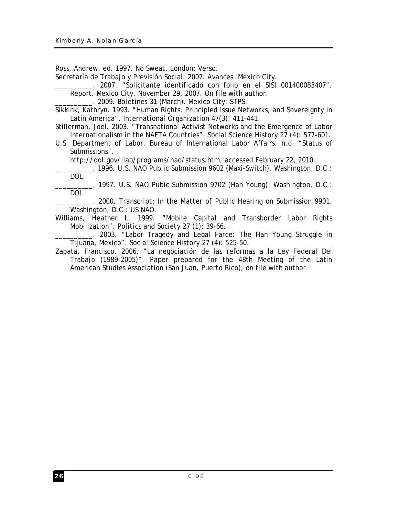Ross, Andrew, ed. 1997. *No Sweat.* London: Verso.

Secretaría de Trabajo y Previsión Social. 2007. *Avances*. Mexico City.

\_\_\_\_\_\_\_\_\_\_. 2007. "Solicitante identificado con folio en el SISI 001400083407".

Report. Mexico City, November 29, 2007. On file with author.

\_\_\_\_\_\_\_\_\_\_. 2009. *Boletines 31* (March). Mexico City: STPS.

Sikkink, Kathryn. 1993. "Human Rights, Principled Issue Networks, and Sovereignty in Latin America". *International Organization* 47(3): 411-441.

Stillerman, Joel. 2003. "Transnational Activist Networks and the Emergence of Labor Internationalism in the NAFTA Countries". *Social Science History* 27 (4): 577-601.

U.S. Department of Labor, Bureau of International Labor Affairs. n.d. "Status of Submissions".

http://dol.gov/ilab/programs/nao/status.htm, accessed February 22, 2010.

\_\_\_\_\_\_\_\_\_\_. 1996. *U.S. NAO Public Submission 9602* (Maxi-Switch). Washington, D.C.: DOL.

\_\_\_\_\_\_\_\_\_\_. 1997. *U.S. NAO Pubic Submission 9702* (Han Young). Washington, D.C.: DOL.

\_\_\_\_\_\_\_\_\_\_. 2000. *Transcript: In the Matter of Public Hearing on Submission 9901*. Washington, D.C.: US NAO.

Williams, Heather L. 1999. "Mobile Capital and Transborder Labor Rights Mobilization". *Politics and Society* 27 (1): 39-66.

\_\_\_\_\_\_\_\_\_\_. 2003. "Labor Tragedy and Legal Farce: The Han Young Struggle in Tijuana, Mexico". *Social Science History* 27 (4): 525-50.

Zapata, Francisco. 2006. "La negociación de las reformas a la Ley Federal Del Trabajo (1989-2005)". Paper prepared for the 48th Meeting of the Latin American Studies Association (San Juan, Puerto Rico), on file with author.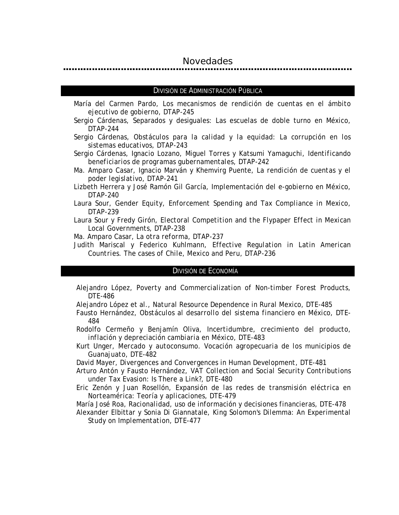#### *Novedades*

#### DIVISIÓN DE ADMINISTRACIÓN PÚBLICA

- María del Carmen Pardo, *Los mecanismos de rendición de cuentas en el ámbito ejecutivo de gobierno*, DTAP-245
- Sergio Cárdenas, Separados y desiguales: Las escuelas de doble turno en México, DTAP-244
- Sergio Cárdenas, *Obstáculos para la calidad y la equidad: La corrupción en los sistemas educativos*, DTAP-243
- Sergio Cárdenas, Ignacio Lozano, Miguel Torres y Katsumi Yamaguchi, *Identificando beneficiarios de programas gubernamentales*, DTAP-242
- Ma. Amparo Casar, Ignacio Marván y Khemvirg Puente, *La rendición de cuentas y el poder legislativo*, DTAP-241
- Lizbeth Herrera y José Ramón Gil García, *Implementación del e-gobierno en México*, DTAP-240
- Laura Sour, *Gender Equity, Enforcement Spending and Tax Compliance in Mexico*, DTAP-239
- Laura Sour y Fredy Girón, *Electoral Competition and the Flypaper Effect in Mexican Local Governments*, DTAP-238
- Ma. Amparo Casar, *La otra reforma*, DTAP-237
- Judith Mariscal y Federico Kuhlmann, *Effective Regulation in Latin American Countries. The cases of Chile, Mexico and Peru*, DTAP-236

#### DIVISIÓN DE ECONOMÍA

- Alejandro López, *Poverty and Commercialization of Non-timber Forest Products*, DTE-486
- Alejandro López et al., *Natural Resource Dependence in Rural Mexico*, DTE-485
- Fausto Hernández, *Obstáculos al desarrollo del sistema financiero en México*, DTE-484
- Rodolfo Cermeño y Benjamín Oliva, *Incertidumbre, crecimiento del producto, inflación y depreciación cambiaria en México*, DTE-483
- Kurt Unger, *Mercado y autoconsumo. Vocación agropecuaria de los municipios de Guanajuato*, DTE-482
- David Mayer, *Divergences and Convergences in Human Development*, DTE-481
- Arturo Antón y Fausto Hernández, *VAT Collection and Social Security Contributions under Tax Evasion: Is There a Link?*, DTE-480
- Eric Zenón y Juan Rosellón, *Expansión de las redes de transmisión eléctrica en Norteamérica: Teoría y aplicaciones*, DTE-479

María José Roa, *Racionalidad, uso de información y decisiones financieras*, DTE-478

Alexander Elbittar y Sonia Di Giannatale, *King Solomon's Dilemma: An Experimental Study on Implementation*, DTE-477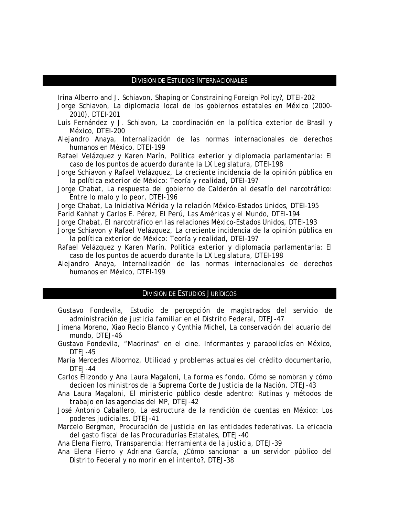#### DIVISIÓN DE ESTUDIOS INTERNACIONALES

Irina Alberro and J. Schiavon, *Shaping or Constraining Foreign Policy?*, DTEI-202

- Jorge Schiavon, *La diplomacia local de los gobiernos estatales en México (2000- 2010)*, DTEI-201
- Luis Fernández y J. Schiavon, *La coordinación en la política exterior de Brasil y México*, DTEI-200
- Alejandro Anaya, *Internalización de las normas internacionales de derechos humanos en México*, DTEI-199
- Rafael Velázquez y Karen Marín, *Política exterior y diplomacia parlamentaria: El caso de los puntos de acuerdo durante la LX Legislatura*, DTEI-198
- Jorge Schiavon y Rafael Velázquez, *La creciente incidencia de la opinión pública en la política exterior de México: Teoría y realidad*, DTEI-197
- Jorge Chabat, *La respuesta del gobierno de Calderón al desafío del narcotráfico: Entre lo malo y lo peor*, DTEI-196
- Jorge Chabat, *La Iniciativa Mérida y la relación México-Estados Unidos*, DTEI-195
- Farid Kahhat y Carlos E. Pérez, *El Perú, Las Américas y el Mundo*, DTEI-194
- Jorge Chabat, *El narcotráfico en las relaciones México-Estados Unidos*, DTEI-193
- Jorge Schiavon y Rafael Velázquez, *La creciente incidencia de la opinión pública en la política exterior de México: Teoría y realidad*, DTEI-197
- Rafael Velázquez y Karen Marín, *Política exterior y diplomacia parlamentaria: El caso de los puntos de acuerdo durante la LX Legislatura*, DTEI-198
- Alejandro Anaya, *Internalización de las normas internacionales de derechos humanos en México*, DTEI-199

#### DIVISIÓN DE ESTUDIOS JURÍDICOS

- Gustavo Fondevila, *Estudio de percepción de magistrados del servicio de administración de justicia familiar en el Distrito Federal*, DTEJ-47
- Jimena Moreno, Xiao Recio Blanco y Cynthia Michel, *La conservación del acuario del mundo*, DTEJ-46
- Gustavo Fondevila, *"Madrinas" en el cine. Informantes y parapolicías en México*, DTEJ-45
- María Mercedes Albornoz, *Utilidad y problemas actuales del crédito documentario*, DTEJ-44
- Carlos Elizondo y Ana Laura Magaloni, *La forma es fondo. Cómo se nombran y cómo deciden los ministros de la Suprema Corte de Justicia de la Nación*, DTEJ-43
- Ana Laura Magaloni, *El ministerio público desde adentro: Rutinas y métodos de trabajo en las agencias del MP*, DTEJ-42
- José Antonio Caballero, *La estructura de la rendición de cuentas en México: Los poderes judiciales*, DTEJ-41
- Marcelo Bergman, *Procuración de justicia en las entidades federativas. La eficacia del gasto fiscal de las Procuradurías Estatales*, DTEJ-40
- Ana Elena Fierro, *Transparencia: Herramienta de la justicia*, DTEJ-39
- Ana Elena Fierro y Adriana García, *¿Cómo sancionar a un servidor público del Distrito Federal y no morir en el intento?*, DTEJ-38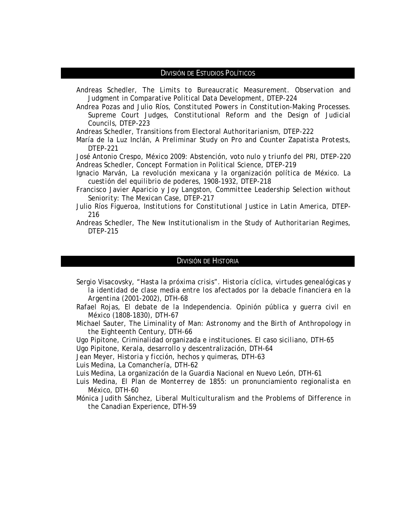#### DIVISIÓN DE ESTUDIOS POLÍTICOS

Andreas Schedler, *The Limits to Bureaucratic Measurement. Observation and Judgment in Comparative Political Data Development*, DTEP-224

Andrea Pozas and Julio Ríos, *Constituted Powers in Constitution-Making Processes. Supreme Court Judges, Constitutional Reform and the Design of Judicial Councils*, DTEP-223

Andreas Schedler, *Transitions from Electoral Authoritarianism*, DTEP-222

María de la Luz Inclán, *A Preliminar Study on Pro and Counter Zapatista Protests*, DTEP-221

José Antonio Crespo, *México 2009: Abstención, voto nulo y triunfo del PRI*, DTEP-220 Andreas Schedler, *Concept Formation in Political Science*, DTEP-219

- Ignacio Marván, *La revolución mexicana y la organización política de México. La cuestión del equilibrio de poderes, 1908-1932*, DTEP-218
- Francisco Javier Aparicio y Joy Langston, *Committee Leadership Selection without Seniority: The Mexican Case*, DTEP-217
- Julio Ríos Figueroa, *Institutions for Constitutional Justice in Latin America*, DTEP-216
- Andreas Schedler, *The New Institutionalism in the Study of Authoritarian Regimes*, DTEP-215

#### DIVISIÓN DE HISTORIA

- Sergio Visacovsky, *"Hasta la próxima crisis". Historia cíclica, virtudes genealógicas y la identidad de clase media entre los afectados por la debacle financiera en la Argentina (2001-2002)*, DTH-68
- Rafael Rojas, *El debate de la Independencia. Opinión pública y guerra civil en México (1808-1830)*, DTH-67
- Michael Sauter, *The Liminality of Man: Astronomy and the Birth of Anthropology in the Eighteenth Century*, DTH-66
- Ugo Pipitone, *Criminalidad organizada e instituciones. El caso siciliano*, DTH-65
- Ugo Pipitone, *Kerala, desarrollo y descentralización*, DTH-64
- Jean Meyer, *Historia y ficción, hechos y quimeras*, DTH-63

Luis Medina, *La Comanchería*, DTH-62

- Luis Medina, *La organización de la Guardia Nacional en Nuevo León*, DTH-61
- Luis Medina, *El Plan de Monterrey de 1855: un pronunciamiento regionalista en México*, DTH-60
- Mónica Judith Sánchez, *Liberal Multiculturalism and the Problems of Difference in the Canadian Experience*, DTH-59